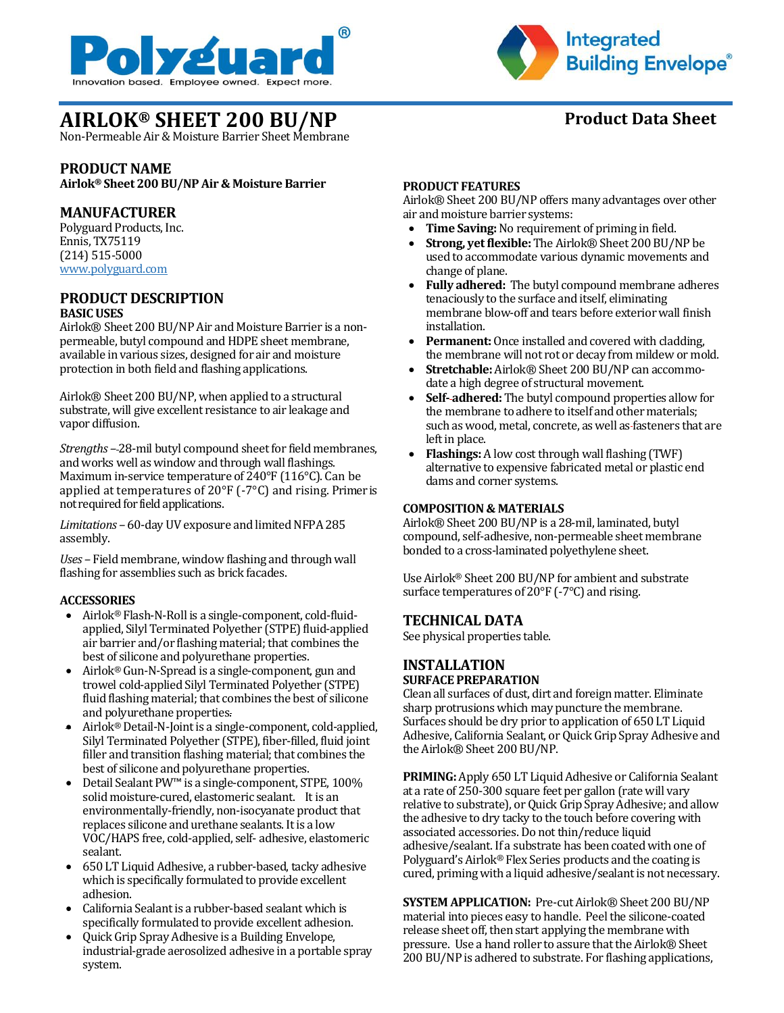



# **AIRLOK® SHEET 200 BU/NP Product Data Sheet**

Non-Permeable Air & Moisture Barrier Sheet Membrane

## **PRODUCT NAME**

**Airlok® Sheet 200 BU/NP Air & Moisture Barrier**

# **MANUFACTURER**

Polyguard Products, Inc. Ennis, TX75119 (214) 515-5000 [www.polyguard.com](http://www.polyguard.com/)

### **PRODUCT DESCRIPTION BASIC USES**

Airlok® Sheet 200 BU/NP Air and Moisture Barrier is a nonpermeable, butyl compound and HDPE sheet membrane, available in various sizes, designed for air and moisture protection in both field and flashing applications.

Airlok® Sheet 200 BU/NP, when applied to a structural substrate, will give excellent resistance to air leakage and vapor diffusion.

*Strengths –* 28-mil butyl compound sheet for field membranes, and works well as window and through wall flashings. Maximum in-service temperature of 240°F (116°C). Can be applied at temperatures of 20°F (-7°C) and rising. Primer is not required for field applications.

*Limitations –* 60-day UV exposure and limited NFPA 285 assembly.

*Uses –* Field membrane, window flashing and through wall flashing for assemblies such as brick facades.

### **ACCESSORIES**

- Airlok® Flash-N-Roll is a single-component, cold-fluidapplied, Silyl Terminated Polyether (STPE) fluid-applied air barrier and/or flashing material; that combines the best of silicone and polyurethane properties.
- Airlok® Gun-N-Spread is a single-component, gun and trowel cold-applied Silyl Terminated Polyether (STPE) fluid flashing material; that combines the best of silicone and polyurethane properties.
- Airlok® Detail-N-Joint is a single-component, cold-applied, Silyl Terminated Polyether (STPE), fiber-filled, fluid joint filler and transition flashing material; that combines the best of silicone and polyurethane properties.
- Detail Sealant PW<sup>™</sup> is a single-component, STPE, 100% solid moisture-cured, elastomeric sealant. It is an environmentally-friendly, non-isocyanate product that replaces silicone and urethane sealants. It is a low VOC/HAPS free, cold-applied, self- adhesive, elastomeric sealant.
- 650 LT Liquid Adhesive, a rubber-based, tacky adhesive which is specifically formulated to provide excellent adhesion.
- California Sealant is a rubber-based sealant which is specifically formulated to provide excellent adhesion.
- Quick Grip Spray Adhesive is a Building Envelope, industrial-grade aerosolized adhesive in a portable spray system.

### **PRODUCT FEATURES**

Airlok® Sheet 200 BU/NP offers many advantages over other air and moisture barrier systems:

- **Time Saving:** No requirement of priming in field.
- **Strong, yet flexible:** The Airlok® Sheet 200 BU/NP be used to accommodate various dynamic movements and change of plane.
- **Fully adhered:** The butyl compound membrane adheres tenaciously to the surface and itself, eliminating membrane blow-off and tears before exterior wall finish installation.
- **Permanent:** Once installed and covered with cladding, the membrane will not rot or decay from mildew or mold.
- **Stretchable:** Airlok® Sheet 200 BU/NP can accommodate a high degree of structural movement.
- **Self- adhered:** The butyl compound properties allow for the membrane to adhere to itself and other materials; such as wood, metal, concrete, as well as fasteners that are left in place.
- **Flashings:**A low cost through wall flashing (TWF) alternative to expensive fabricated metal or plastic end dams and corner systems.

### **COMPOSITION & MATERIALS**

Airlok® Sheet 200 BU/NP is a 28-mil, laminated, butyl compound, self-adhesive, non-permeable sheet membrane bonded to a cross-laminated polyethylene sheet.

Use Airlok® Sheet 200 BU/NP for ambient and substrate surface temperatures of 20°F (-7°C) and rising.

### **TECHNICAL DATA**

See physical properties table.

## **INSTALLATION SURFACE PREPARATION**

Clean all surfaces of dust, dirt and foreign matter. Eliminate sharp protrusions which may puncture the membrane. Surfaces should be dry prior to application of 650 LT Liquid Adhesive, California Sealant, or Quick Grip Spray Adhesive and the Airlok® Sheet 200 BU/NP.

**PRIMING:**Apply 650 LT Liquid Adhesive or California Sealant at a rate of 250-300 square feet per gallon (rate will vary relative to substrate), or Quick Grip Spray Adhesive; and allow the adhesive to dry tacky to the touch before covering with associated accessories. Do not thin/reduce liquid adhesive/sealant. If a substrate has been coated with one of Polyguard's Airlok® Flex Series products and the coating is cured, priming with a liquid adhesive/sealant is not necessary.

**SYSTEM APPLICATION:** Pre-cut Airlok® Sheet 200 BU/NP material into pieces easy to handle. Peel the silicone-coated release sheet off, then start applying the membrane with pressure. Use a hand roller to assure that the Airlok® Sheet 200 BU/NP is adhered to substrate. For flashing applications,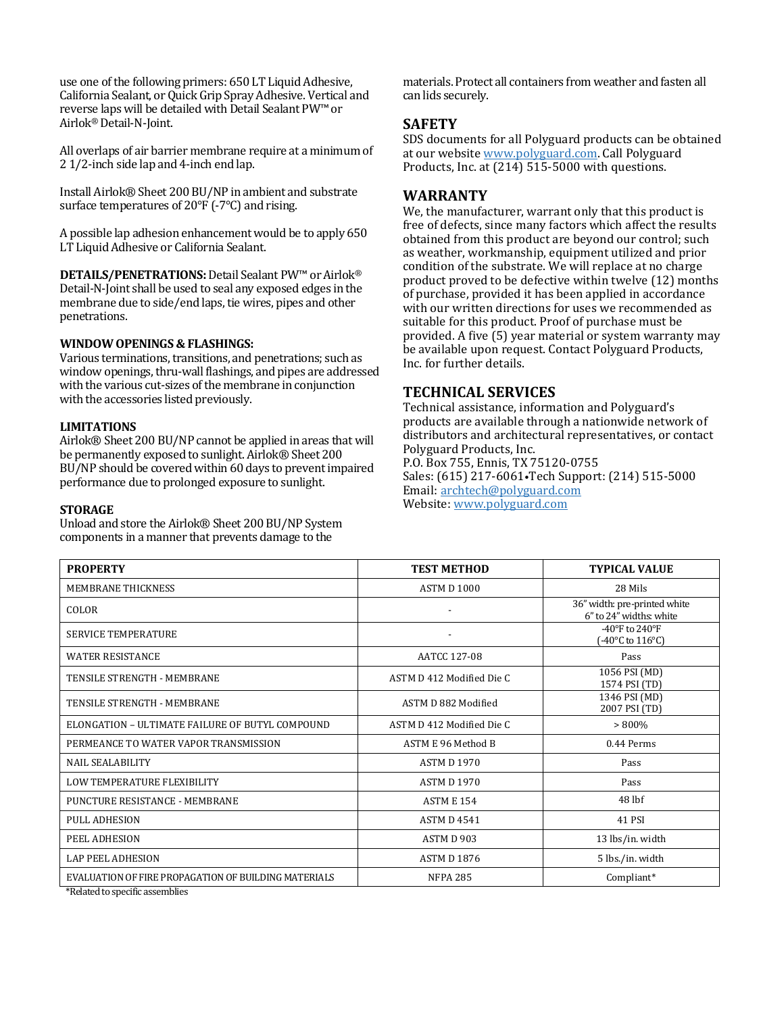use one of the following primers: 650 LT Liquid Adhesive, California Sealant, or Quick Grip Spray Adhesive. Vertical and reverse laps will be detailed with Detail Sealant PW™or Airlok® Detail-N-Joint.

All overlaps of air barrier membrane require at a minimum of 2 1/2-inch side lap and 4-inch end lap.

Install Airlok® Sheet 200 BU/NP in ambient and substrate surface temperatures of 20°F (-7°C) and rising.

A possible lap adhesion enhancement would be to apply 650 LT Liquid Adhesive or California Sealant.

**DETAILS/PENETRATIONS: Detail Sealant PW™ or Airlok<sup>®</sup>** Detail-N-Joint shall be used to seal any exposed edges in the membrane due to side/end laps, tie wires, pipes and other penetrations.

### **WINDOW OPENINGS & FLASHINGS:**

Various terminations, transitions, and penetrations; such as window openings, thru-wall flashings, and pipes are addressed with the various cut-sizes of the membrane in conjunction with the accessories listed previously.

### **LIMITATIONS**

Airlok® Sheet 200 BU/NP cannot be applied in areas that will be permanently exposed to sunlight. Airlok® Sheet 200 BU/NP should be covered within 60 days to prevent impaired performance due to prolonged exposure to sunlight.

### **STORAGE**

Unload and store the Airlok® Sheet 200 BU/NP System components in a manner that prevents damage to the

materials. Protect all containers from weather and fasten all can lids securely.

### **SAFETY**

SDS documents for all Polyguard products can be obtained at our website [www.polyguard.com.](http://www.polyguard.com/) Call Polyguard Products, Inc. at (214) 515-5000 with questions.

### **WARRANTY**

We, the manufacturer, warrant only that this product is free of defects, since many factors which affect the results obtained from this product are beyond our control; such as weather, workmanship, equipment utilized and prior condition of the substrate. We will replace at no charge product proved to be defective within twelve (12) months of purchase, provided it has been applied in accordance with our written directions for uses we recommended as suitable for this product. Proof of purchase must be provided. A five (5) year material or system warranty may be available upon request. Contact Polyguard Products, Inc. for further details.

### **TECHNICAL SERVICES**

Technical assistance, information and Polyguard's products are available through a nationwide network of distributors and architectural representatives, or contact Polyguard Products, Inc. P.O. Box 755, Ennis, TX 75120-0755 Sales: (615) 217-6061•Tech Support: (214) 515-5000 Email: [archtech@polyguard.com](mailto:archtech@polyguard.com)

Website: [www.polyguard.com](http://www.polyguard.com/)

| <b>PROPERTY</b>                                                                                       | <b>TEST METHOD</b>        | <b>TYPICAL VALUE</b>                                    |
|-------------------------------------------------------------------------------------------------------|---------------------------|---------------------------------------------------------|
| MEMBRANE THICKNESS                                                                                    | ASTM D 1000               | 28 Mils                                                 |
| COLOR                                                                                                 |                           | 36" width: pre-printed white<br>6" to 24" widths: white |
| <b>SERVICE TEMPERATURE</b>                                                                            |                           | -40°F to 240°F<br>(-40°C to 116°C)                      |
| <b>WATER RESISTANCE</b>                                                                               | AATCC 127-08              | Pass                                                    |
| TENSILE STRENGTH - MEMBRANE                                                                           | ASTM D 412 Modified Die C | 1056 PSI (MD)<br>1574 PSI (TD)                          |
| TENSILE STRENGTH - MEMBRANE                                                                           | ASTM D 882 Modified       | 1346 PSI (MD)<br>2007 PSI (TD)                          |
| ELONGATION - ULTIMATE FAILURE OF BUTYL COMPOUND                                                       | ASTM D 412 Modified Die C | $> 800\%$                                               |
| PERMEANCE TO WATER VAPOR TRANSMISSION                                                                 | ASTM E 96 Method B        | 0.44 Perms                                              |
| <b>NAIL SEALABILITY</b>                                                                               | <b>ASTM D 1970</b>        | Pass                                                    |
| LOW TEMPERATURE FLEXIBILITY                                                                           | <b>ASTM D 1970</b>        | Pass                                                    |
| PUNCTURE RESISTANCE - MEMBRANE                                                                        | <b>ASTM E 154</b>         | 48 lbf                                                  |
| <b>PULL ADHESION</b>                                                                                  | <b>ASTM D 4541</b>        | 41 PSI                                                  |
| PEEL ADHESION                                                                                         | ASTM D 903                | 13 lbs/in. width                                        |
| <b>LAP PEEL ADHESION</b>                                                                              | <b>ASTM D 1876</b>        | 5 lbs./in. width                                        |
| EVALUATION OF FIRE PROPAGATION OF BUILDING MATERIALS<br>الممثل والمسموم ويتكنون ومستوط استعمالوا كالا | <b>NFPA 285</b>           | Compliant*                                              |

\*Related to specific assemblies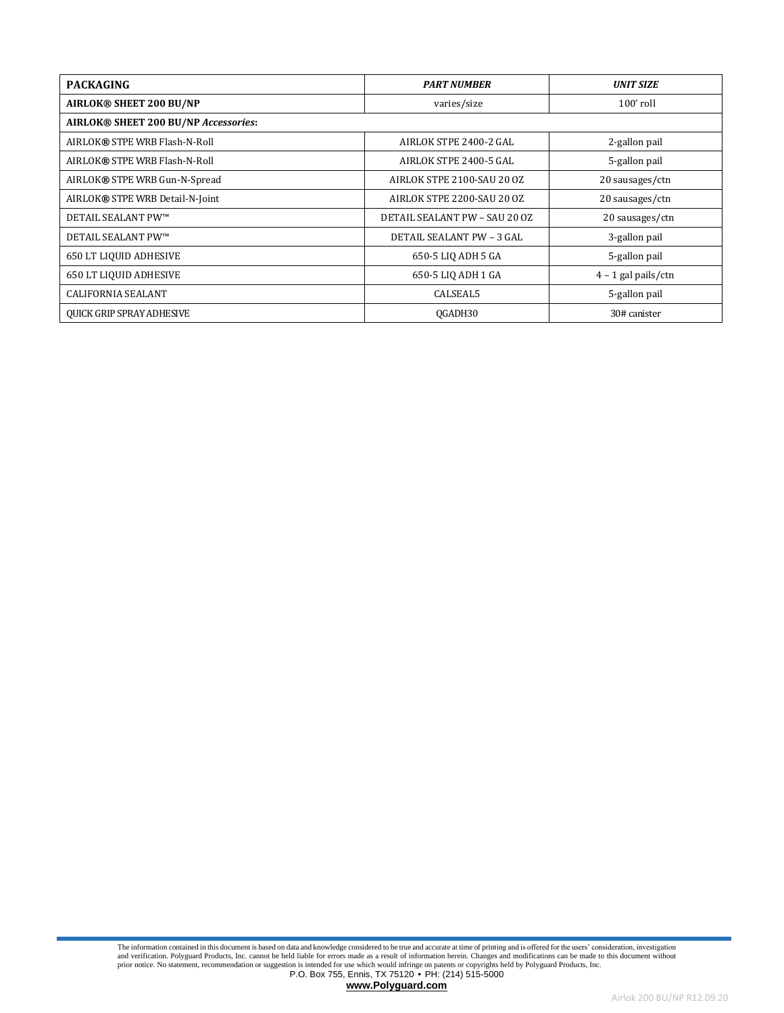| <b>PACKAGING</b>                     | <b>PART NUMBER</b>            | <b>UNIT SIZE</b>      |  |
|--------------------------------------|-------------------------------|-----------------------|--|
| <b>AIRLOK® SHEET 200 BU/NP</b>       | varies/size                   | $100'$ roll           |  |
| AIRLOK® SHEET 200 BU/NP Accessories: |                               |                       |  |
| AIRLOK® STPE WRB Flash-N-Roll        | AIRLOK STPE 2400-2 GAL        | 2-gallon pail         |  |
| AIRLOK® STPE WRB Flash-N-Roll        | AIRLOK STPE 2400-5 GAL        | 5-gallon pail         |  |
| AIRLOK® STPE WRB Gun-N-Spread        | AIRLOK STPE 2100-SAU 20 OZ    | 20 sausages/ctn       |  |
| AIRLOK® STPE WRB Detail-N-Joint      | AIRLOK STPE 2200-SAU 20 OZ    | 20 sausages/ctn       |  |
| <b>DETAIL SEALANT PW™</b>            | DETAIL SEALANT PW - SAU 20 OZ | 20 sausages/ctn       |  |
| <b>DETAIL SEALANT PW™</b>            | DETAIL SEALANT PW - 3 GAL     | 3-gallon pail         |  |
| <b>650 LT LIQUID ADHESIVE</b>        | 650-5 LIQ ADH 5 GA            | 5-gallon pail         |  |
| <b>650 LT LIQUID ADHESIVE</b>        | 650-5 LIQ ADH 1 GA            | $4 - 1$ gal pails/ctn |  |
| <b>CALIFORNIA SEALANT</b>            | CALSEAL5                      | 5-gallon pail         |  |
| <b>QUICK GRIP SPRAY ADHESIVE</b>     | OGADH30                       | 30# canister          |  |

**[www.Polyguard.com](http://www.polyguard.com/)**